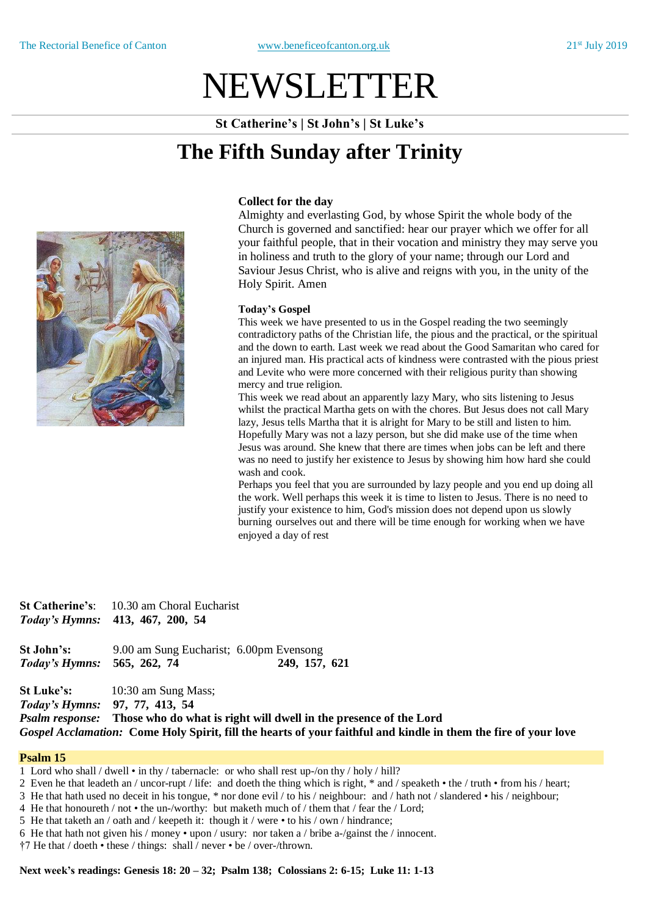# NEWSLETTER

**St Catherine's | St John's | St Luke's**

## **The Fifth Sunday after Trinity**



#### **Collect for the day**

Almighty and everlasting God, by whose Spirit the whole body of the Church is governed and sanctified: hear our prayer which we offer for all your faithful people, that in their vocation and ministry they may serve you in holiness and truth to the glory of your name; through our Lord and Saviour Jesus Christ, who is alive and reigns with you, in the unity of the Holy Spirit. Amen

#### **Today's Gospel**

This week we have presented to us in the Gospel reading the two seemingly contradictory paths of the Christian life, the pious and the practical, or the spiritual and the down to earth. Last week we read about the Good Samaritan who cared for an injured man. His practical acts of kindness were contrasted with the pious priest and Levite who were more concerned with their religious purity than showing mercy and true religion.

This week we read about an apparently lazy Mary, who sits listening to Jesus whilst the practical Martha gets on with the chores. But Jesus does not call Mary lazy, Jesus tells Martha that it is alright for Mary to be still and listen to him. Hopefully Mary was not a lazy person, but she did make use of the time when Jesus was around. She knew that there are times when jobs can be left and there was no need to justify her existence to Jesus by showing him how hard she could wash and cook.

Perhaps you feel that you are surrounded by lazy people and you end up doing all the work. Well perhaps this week it is time to listen to Jesus. There is no need to justify your existence to him, God's mission does not depend upon us slowly burning ourselves out and there will be time enough for working when we have enjoyed a day of rest

**St Catherine's**: 10.30 am Choral Eucharist *Today's Hymns:* **413, 467, 200, 54**

**St John's:** 9.00 am Sung Eucharist; 6.00pm Evensong *Today's Hymns:* **565, 262, 74 249, 157, 621** 

**St Luke's:** 10:30 am Sung Mass; *Today's Hymns:* **97, 77, 413, 54** *Psalm response:* **Those who do what is right will dwell in the presence of the Lord** Gospel Acclamation: Come Holy Spirit, fill the hearts of your faithful and kindle in them the fire of your love

#### **Psalm 15**

1 Lord who shall / dwell • in thy / tabernacle: or who shall rest up-/on thy / holy / hill?

- 2 Even he that leadeth an / uncor-rupt / life: and doeth the thing which is right, \* and / speaketh the / truth from his / heart;
- 3 He that hath used no deceit in his tongue, \* nor done evil / to his / neighbour: and / hath not / slandered his / neighbour;
- 4 He that honoureth / not the un-/worthy: but maketh much of / them that / fear the / Lord;
- 5 He that taketh an / oath and / keepeth it: though it / were to his / own / hindrance;
- 6 He that hath not given his / money upon / usury: nor taken a / bribe a-/gainst the / innocent.
- †7 He that / doeth these / things: shall / never be / over-/thrown.

**Next week's readings: Genesis 18: 20 – 32; Psalm 138; Colossians 2: 6-15; Luke 11: 1-13**